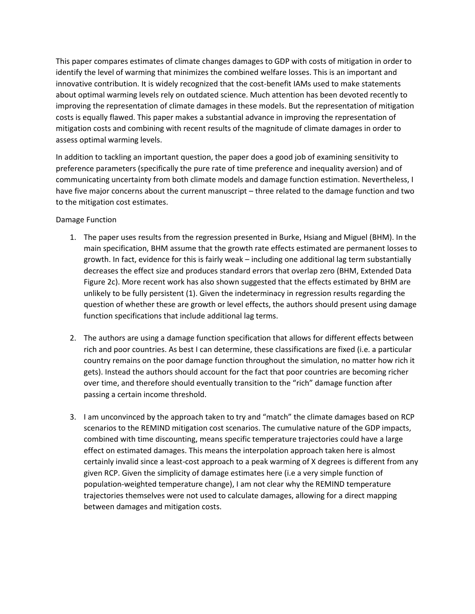This paper compares estimates of climate changes damages to GDP with costs of mitigation in order to identify the level of warming that minimizes the combined welfare losses. This is an important and innovative contribution. It is widely recognized that the cost-benefit IAMs used to make statements about optimal warming levels rely on outdated science. Much attention has been devoted recently to improving the representation of climate damages in these models. But the representation of mitigation costs is equally flawed. This paper makes a substantial advance in improving the representation of mitigation costs and combining with recent results of the magnitude of climate damages in order to assess optimal warming levels.

In addition to tackling an important question, the paper does a good job of examining sensitivity to preference parameters (specifically the pure rate of time preference and inequality aversion) and of communicating uncertainty from both climate models and damage function estimation. Nevertheless, I have five major concerns about the current manuscript – three related to the damage function and two to the mitigation cost estimates.

## Damage Function

- 1. The paper uses results from the regression presented in Burke, Hsiang and Miguel (BHM). In the main specification, BHM assume that the growth rate effects estimated are permanent losses to growth. In fact, evidence for this is fairly weak – including one additional lag term substantially decreases the effect size and produces standard errors that overlap zero (BHM, Extended Data Figure 2c). More recent work has also shown suggested that the effects estimated by BHM are unlikely to be fully persistent (1). Given the indeterminacy in regression results regarding the question of whether these are growth or level effects, the authors should present using damage function specifications that include additional lag terms.
- 2. The authors are using a damage function specification that allows for different effects between rich and poor countries. As best I can determine, these classifications are fixed (i.e. a particular country remains on the poor damage function throughout the simulation, no matter how rich it gets). Instead the authors should account for the fact that poor countries are becoming richer over time, and therefore should eventually transition to the "rich" damage function after passing a certain income threshold.
- 3. I am unconvinced by the approach taken to try and "match" the climate damages based on RCP scenarios to the REMIND mitigation cost scenarios. The cumulative nature of the GDP impacts, combined with time discounting, means specific temperature trajectories could have a large effect on estimated damages. This means the interpolation approach taken here is almost certainly invalid since a least-cost approach to a peak warming of X degrees is different from any given RCP. Given the simplicity of damage estimates here (i.e a very simple function of population-weighted temperature change), I am not clear why the REMIND temperature trajectories themselves were not used to calculate damages, allowing for a direct mapping between damages and mitigation costs.